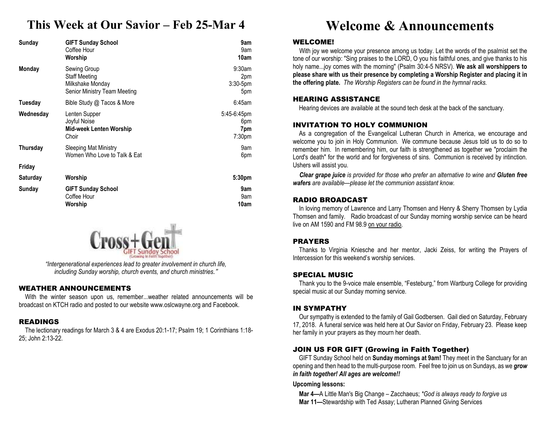# **This Week at Our Savior – Feb 25-Mar 4**

| Sunday          | <b>GIFT Sunday School</b><br>Coffee Hour<br>Worship                                      | 9am<br>9am<br>10am                              |
|-----------------|------------------------------------------------------------------------------------------|-------------------------------------------------|
| Monday          | Sewing Group<br><b>Staff Meeting</b><br>Milkshake Monday<br>Senior Ministry Team Meeting | 9:30am<br>2pm<br>$3:30-5$ pm<br>5pm             |
| Tuesday         | Bible Study @ Tacos & More                                                               | 6:45am                                          |
| Wednesday       | Lenten Supper<br>Joyful Noise<br><b>Mid-week Lenten Worship</b><br>Choir                 | 5:45-6:45pm<br>6pm<br>7pm<br>7:30 <sub>pm</sub> |
| Thursday        | <b>Sleeping Mat Ministry</b><br>Women Who Love to Talk & Eat                             | 9am<br>6pm                                      |
| Friday          |                                                                                          |                                                 |
| <b>Saturday</b> | Worship                                                                                  | 5:30pm                                          |
| Sunday          | <b>GIFT Sunday School</b><br>Coffee Hour<br>Worship                                      | 9am<br>9am<br>10am                              |



*"Intergenerational experiences lead to greater involvement in church life, including Sunday worship, church events, and church ministries."* 

## WEATHER ANNOUNCEMENTS

 With the winter season upon us, remember...weather related announcements will be broadcast on KTCH radio and posted to our website www.oslcwayne.org and Facebook.

### READINGS

 The lectionary readings for March 3 & 4 are Exodus 20:1-17; Psalm 19; 1 Corinthians 1:18-25; John 2:13-22.

# **Welcome & Announcements**

### WELCOME!

 With joy we welcome your presence among us today. Let the words of the psalmist set the tone of our worship: "Sing praises to the LORD, O you his faithful ones, and give thanks to his holy name...joy comes with the morning" (Psalm 30:4-5 NRSV). **We ask all worshippers to please share with us their presence by completing a Worship Register and placing it in the offering plate.** *The Worship Registers can be found in the hymnal racks.* 

### HEARING ASSISTANCE

Hearing devices are available at the sound tech desk at the back of the sanctuary.

### INVITATION TO HOLY COMMUNION

 As a congregation of the Evangelical Lutheran Church in America, we encourage and welcome you to join in Holy Communion. We commune because Jesus told us to do so to remember him. In remembering him, our faith is strengthened as together we "proclaim the Lord's death" for the world and for forgiveness of sins. Communion is received by intinction. Ushers will assist you.

*Clear grape juice is provided for those who prefer an alternative to wine and Gluten free wafers are available—please let the communion assistant know.* 

### RADIO BROADCAST

 In loving memory of Lawrence and Larry Thomsen and Henry & Sherry Thomsen by Lydia Thomsen and family. Radio broadcast of our Sunday morning worship service can be heard live on AM 1590 and FM 98.9 on your radio.

### PRAYERS

 Thanks to Virginia Kniesche and her mentor, Jacki Zeiss, for writing the Prayers of Intercession for this weekend's worship services.

### SPECIAL MUSIC

 Thank you to the 9-voice male ensemble, "Festeburg," from Wartburg College for providing special music at our Sunday morning service.

### IN SYMPATHY

 Our sympathy is extended to the family of Gail Godbersen. Gail died on Saturday, February 17, 2018. A funeral service was held here at Our Savior on Friday, February 23. Please keep her family in your prayers as they mourn her death.

### JOIN US FOR GIFT (Growing in Faith Together)

GIFT Sunday School held on **Sunday mornings at 9am!** They meet in the Sanctuary for an opening and then head to the multi-purpose room. Feel free to join us on Sundays, as we *grow in faith together! All ages are welcome!!* 

**Upcoming lessons:** 

**Mar 4—**A Little Man's Big Change – Zacchaeus; *\*God is always ready to forgive us* **Mar 11—**Stewardship with Ted Assay; Lutheran Planned Giving Services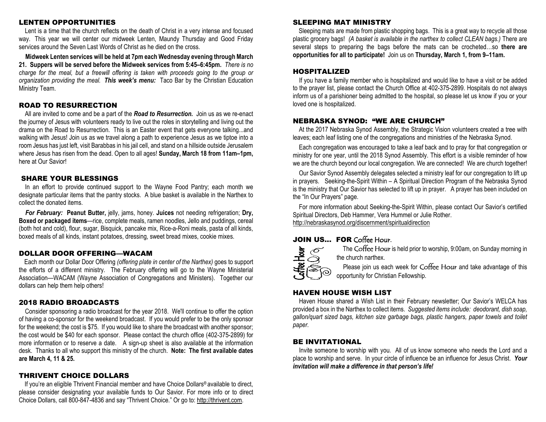### LENTEN OPPORTUNITIES

Lent is a time that the church reflects on the death of Christ in a very intense and focused way. This year we will center our midweek Lenten, Maundy Thursday and Good Friday services around the Seven Last Words of Christ as he died on the cross.

**Midweek Lenten services will be held at 7pm each Wednesday evening through March 21. Suppers will be served before the Midweek services from 5:45–6:45pm.** *There is no charge for the meal, but a freewill offering is taken with proceeds going to the group or organization providing the meal. This week's menu:* Taco Bar by the Christian Education Ministry Team.

### ROAD TO RESURRECTION

 All are invited to come and be a part of the *Road to Resurrection.* Join us as we re-enact the journey of Jesus with volunteers ready to live out the roles in storytelling and living out the drama on the Road to Resurrection. This is an Easter event that gets everyone talking...and walking with Jesus! Join us as we travel along a path to experience Jesus as we tiptoe into a room Jesus has just left, visit Barabbas in his jail cell, and stand on a hillside outside Jerusalem where Jesus has risen from the dead. Open to all ages! **Sunday, March 18 from 11am–1pm,**here at Our Savior!

### SHARE YOUR BLESSINGS

 In an effort to provide continued support to the Wayne Food Pantry; each month we designate particular items that the pantry stocks. A blue basket is available in the Narthex to collect the donated items.

*For February:* **Peanut Butter,** jelly, jams, honey. **Juices** not needing refrigeration; **Dry, Boxed or packaged items**—rice, complete meals, ramen noodles, Jello and puddings, cereal (both hot and cold), flour, sugar, Bisquick, pancake mix, Rice-a-Roni meals, pasta of all kinds, boxed meals of all kinds, instant potatoes, dressing, sweet bread mixes, cookie mixes.

### DOLLAR DOOR OFFERING—WACAM

 Each month our Dollar Door Offering *(offering plate in center of the Narthex)* goes to support the efforts of a different ministry. The February offering will go to the Wayne Ministerial Association—WACAM (Wayne Association of Congregations and Ministers). Together our dollars can help them help others!

### 2018 RADIO BROADCASTS

 Consider sponsoring a radio broadcast for the year 2018. We'll continue to offer the option of having a co-sponsor for the weekend broadcast. If you would prefer to be the only sponsor for the weekend; the cost is \$75. If you would like to share the broadcast with another sponsor; the cost would be \$40 for each sponsor. Please contact the church office (402-375-2899) for more information or to reserve a date. A sign-up sheet is also available at the information desk. Thanks to all who support this ministry of the church. **Note: The first available dates are March 4, 11 & 25.** 

### THRIVENT CHOICE DOLLARS

 If you're an eligible Thrivent Financial member and have Choice Dollars® available to direct, please consider designating your available funds to Our Savior. For more info or to direct Choice Dollars, call 800-847-4836 and say "Thrivent Choice." Or go to: http://thrivent.com.

### SLEEPING MAT MINISTRY

Sleeping mats are made from plastic shopping bags. This is a great way to recycle all those plastic grocery bags! *(A basket is available in the narthex to collect CLEAN bags.)* There are several steps to preparing the bags before the mats can be crocheted…so **there are opportunities for all to participate!** Join us on **Thursday, March 1, from 9–11am.** 

### HOSPITALIZED

 If you have a family member who is hospitalized and would like to have a visit or be added to the prayer list, please contact the Church Office at 402-375-2899. Hospitals do not always inform us of a parishioner being admitted to the hospital, so please let us know if you or your loved one is hospitalized.

### NEBRASKA SYNOD: "WE ARE CHURCH"

 At the 2017 Nebraska Synod Assembly, the Strategic Vision volunteers created a tree with leaves; each leaf listing one of the congregations and ministries of the Nebraska Synod.

Each congregation was encouraged to take a leaf back and to pray for that congregation or ministry for one year, until the 2018 Synod Assembly. This effort is a visible reminder of how we are the church beyond our local congregation. We are connected! We are church together!

Our Savior Synod Assembly delegates selected a ministry leaf for our congregation to lift up in prayers. Seeking-the-Spirit Within – A Spiritual Direction Program of the Nebraska Synod is the ministry that Our Savior has selected to lift up in prayer. A prayer has been included on the "In Our Prayers" page.

For more information about Seeking-the-Spirit Within, please contact Our Savior's certified Spiritual Directors, Deb Hammer, Vera Hummel or Julie Rother.

http://nebraskasynod.org/discernment/spiritualdirection

# **JOIN US... FOR** Coffee Hour.



The Coffee Hour is held prior to worship, 9:00am, on Sunday morning in the church narthex.

Please join us each week for Coffee Hour and take advantage of this opportunity for Christian Fellowship.

### HAVEN HOUSE WISH LIST

Haven House shared a Wish List in their February newsletter; Our Savior's WELCA has provided a box in the Narthex to collect items. *Suggested items include: deodorant, dish soap, gallon/quart sized bags, kitchen size garbage bags, plastic hangers, paper towels and toilet paper.* 

### BE INVITATIONAL

 Invite someone to worship with you. All of us know someone who needs the Lord and a place to worship and serve. In your circle of influence be an influence for Jesus Christ. *Your invitation will make a difference in that person's life!*